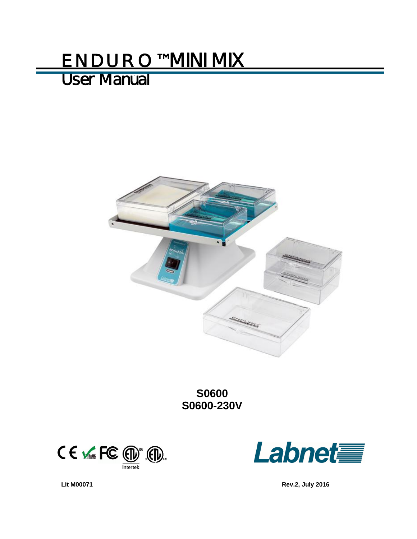# ENDURO™ MINI MIX

# User Manual



**S0600 S0600-230V** 





**Lit M00071 Rev.2, July 2016**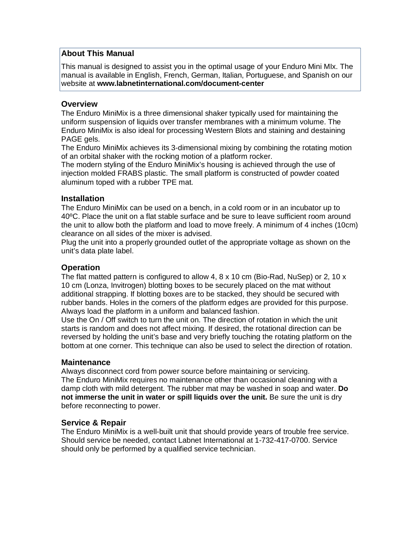#### **About This Manual**

This manual is designed to assist you in the optimal usage of your Enduro Mini MIx. The manual is available in English, French, German, Italian, Portuguese, and Spanish on our website at **www.labnetinternational.com/document-center**

#### **Overview**

The Enduro MiniMix is a three dimensional shaker typically used for maintaining the uniform suspension of liquids over transfer membranes with a minimum volume. The Enduro MiniMix is also ideal for processing Western Blots and staining and destaining PAGE gels.

The Enduro MiniMix achieves its 3-dimensional mixing by combining the rotating motion of an orbital shaker with the rocking motion of a platform rocker.

The modern styling of the Enduro MiniMix's housing is achieved through the use of injection molded FRABS plastic. The small platform is constructed of powder coated aluminum toped with a rubber TPE mat.

#### **Installation**

The Enduro MiniMix can be used on a bench, in a cold room or in an incubator up to 40ºC. Place the unit on a flat stable surface and be sure to leave sufficient room around the unit to allow both the platform and load to move freely. A minimum of 4 inches (10cm) clearance on all sides of the mixer is advised.

Plug the unit into a properly grounded outlet of the appropriate voltage as shown on the unit's data plate label.

#### **Operation**

The flat matted pattern is configured to allow  $4, 8 \times 10$  cm (Bio-Rad, NuSep) or 2, 10 x 10 cm (Lonza, Invitrogen) blotting boxes to be securely placed on the mat without additional strapping. If blotting boxes are to be stacked, they should be secured with rubber bands. Holes in the corners of the platform edges are provided for this purpose. Always load the platform in a uniform and balanced fashion.

Use the On / Off switch to turn the unit on. The direction of rotation in which the unit starts is random and does not affect mixing. If desired, the rotational direction can be reversed by holding the unit's base and very briefly touching the rotating platform on the bottom at one corner. This technique can also be used to select the direction of rotation.

#### **Maintenance**

Always disconnect cord from power source before maintaining or servicing. The Enduro MiniMix requires no maintenance other than occasional cleaning with a damp cloth with mild detergent. The rubber mat may be washed in soap and water. **Do not immerse the unit in water or spill liquids over the unit.** Be sure the unit is dry before reconnecting to power.

#### **Service & Repair**

The Enduro MiniMix is a well-built unit that should provide years of trouble free service. Should service be needed, contact Labnet International at 1-732-417-0700. Service should only be performed by a qualified service technician.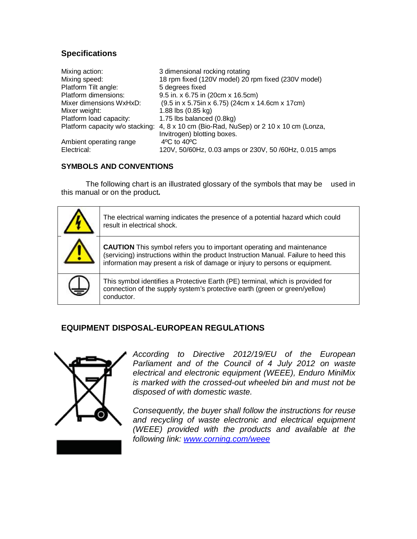## **Specifications**

| Mixing action:                  | 3 dimensional rocking rotating                         |
|---------------------------------|--------------------------------------------------------|
| Mixing speed:                   | 18 rpm fixed (120V model) 20 rpm fixed (230V model)    |
| Platform Tilt angle:            | 5 degrees fixed                                        |
| Platform dimensions:            | 9.5 in. x 6.75 in (20cm x 16.5cm)                      |
| Mixer dimensions WxHxD:         | (9.5 in x 5.75in x 6.75) (24cm x 14.6cm x 17cm)        |
| Mixer weight:                   | 1.88 lbs (0.85 kg)                                     |
| Platform load capacity:         | 1.75 lbs balanced (0.8kg)                              |
| Platform capacity w/o stacking: | 4, 8 x 10 cm (Bio-Rad, NuSep) or 2 10 x 10 cm (Lonza,  |
|                                 | Invitrogen) blotting boxes.                            |
| Ambient operating range         | $4^{\circ}$ C to $40^{\circ}$ C                        |
| Electrical:                     | 120V, 50/60Hz, 0.03 amps or 230V, 50 /60Hz, 0.015 amps |

#### **SYMBOLS AND CONVENTIONS**

The following chart is an illustrated glossary of the symbols that may be used in this manual or on the product**.** 



### **EQUIPMENT DISPOSAL-EUROPEAN REGULATIONS**



*According to Directive 2012/19/EU of the European Parliament and of the Council of 4 July 2012 on waste electrical and electronic equipment (WEEE), Enduro MiniMix is marked with the crossed-out wheeled bin and must not be disposed of with domestic waste.* 

*Consequently, the buyer shall follow the instructions for reuse and recycling of waste electronic and electrical equipment (WEEE) provided with the products and available at the following link: www.corning.com/weee*